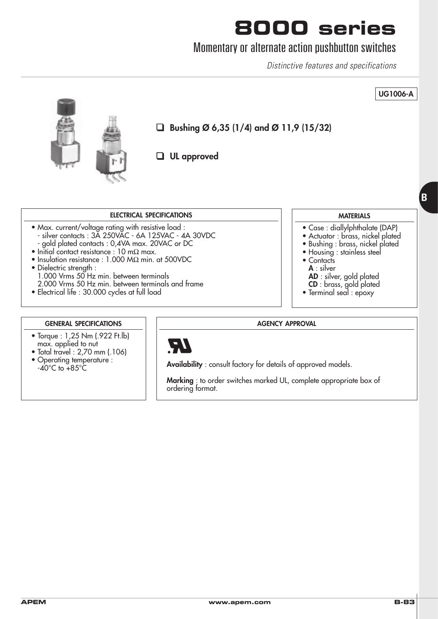### Momentary or alternate action pushbutton switches

Distinctive features and specifications



- Dielectric strength : 1.000 Vrms 50 Hz min. between terminals 2.000 Vrms 50 Hz min. between terminals and frame
- Electrical life : 30.000 cycles at full load
- **A** : silver
- 
- **AD** : silver, gold plated **CD** : brass, gold plated
- Terminal seal : epoxy
- 

#### **GENERAL SPECIFICATIONS**

- Torque : 1,25 Nm (.922 Ft.lb) max. applied to nut
- Total travel : 2,70 mm (.106)
- Operating temperature :  $-40^{\circ}$ C to  $+85^{\circ}$ C

**AGENCY APPROVAL**



**Availability** : consult factory for details of approved models.

**Marking** : to order switches marked UL, complete appropriate box of ordering format.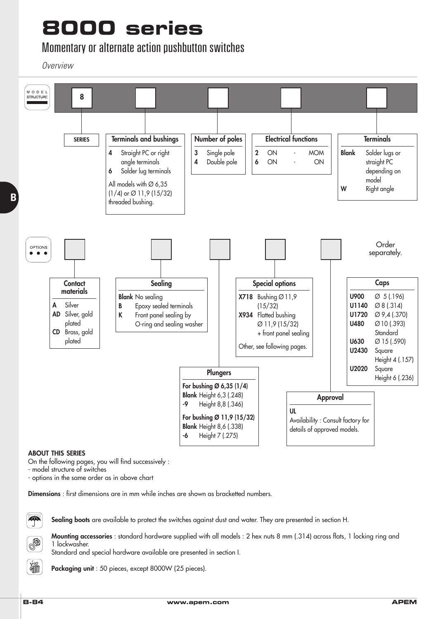### Momentary or alternate action pushbutton switches

**Overview** 



#### **ABOUT THIS SERIES**

On the following pages, you will find successively :

- model structure of switches

- options in the same order as in above chart

**Dimensions** : first dimensions are in mm while inches are shown as bracketted numbers.



**Sealing boots** are available to protect the switches against dust and water. They are presented in section H.



Standard and special hardware available are presented in section I.

**Packaging unit** : 50 pieces, except 8000W (25 pieces).

疝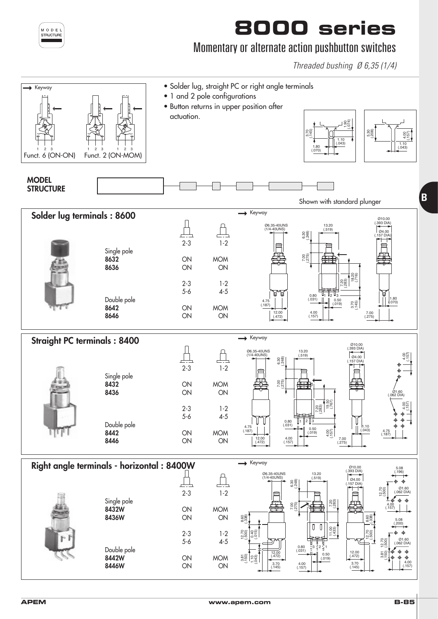

**APEM www.apem.com B-85**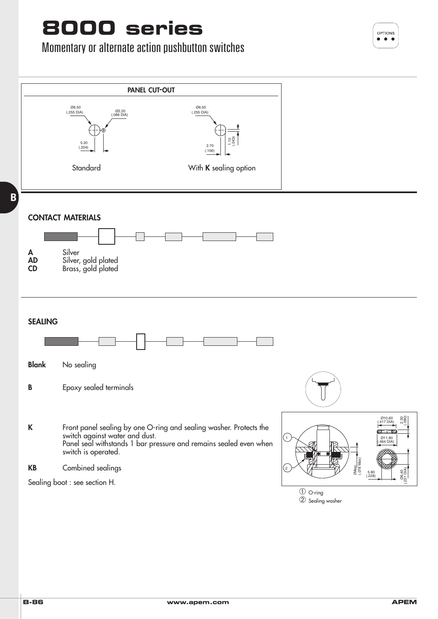## Momentary or alternate action pushbutton switches



**B**

OPTIONS Ċ  $\bullet$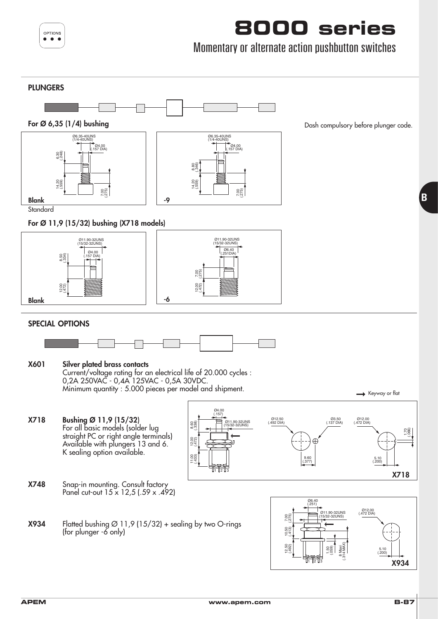

### Momentary or alternate action pushbutton switches

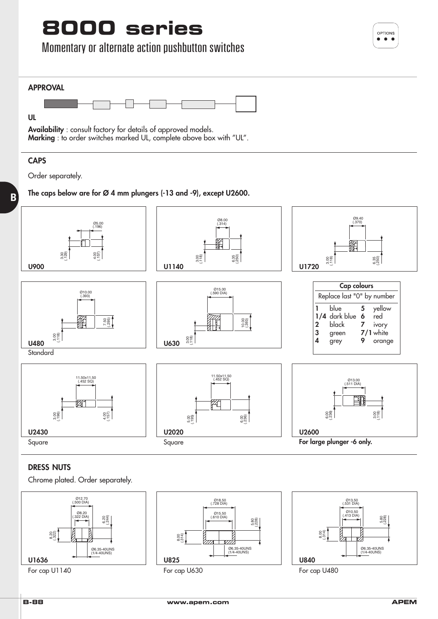### Momentary or alternate action pushbutton switches



**Availability** : consult factory for details of approved models. **Marking** : to order switches marked UL, complete above box with "UL".

#### **CAPS**

Order separately.

#### **The caps below are for Ø 4 mm plungers (-13 and -9), except U2600. B**



#### **DRESS NUTS**



Chrome plated. Order separately.